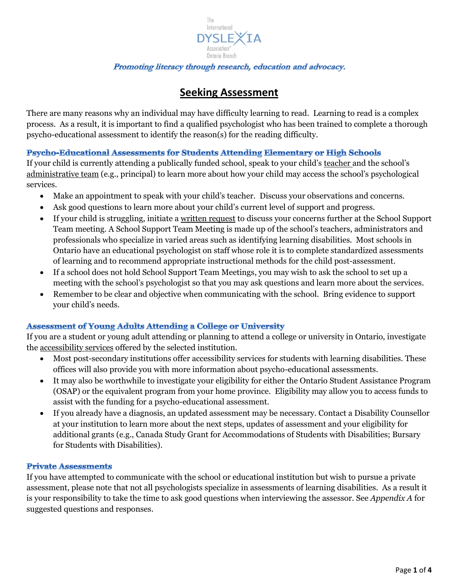

# **Seeking Assessment**

There are many reasons why an individual may have difficulty learning to read. Learning to read is a complex process. As a result, it is important to find a qualified psychologist who has been trained to complete a thorough psycho-educational assessment to identify the reason(s) for the reading difficulty.

## Psycho-Educational Assessments for Students Attending Elementary or High Schools

If your child is currently attending a publically funded school, speak to your child's teacher and the school's administrative team (e.g., principal) to learn more about how your child may access the school's psychological services.

- Make an appointment to speak with your child's teacher. Discuss your observations and concerns.
- Ask good questions to learn more about your child's current level of support and progress.
- If your child is struggling, initiate a written request to discuss your concerns further at the School Support Team meeting. A School Support Team Meeting is made up of the school's teachers, administrators and professionals who specialize in varied areas such as identifying learning disabilities. Most schools in Ontario have an educational psychologist on staff whose role it is to complete standardized assessments of learning and to recommend appropriate instructional methods for the child post-assessment.
- If a school does not hold School Support Team Meetings, you may wish to ask the school to set up a meeting with the school's psychologist so that you may ask questions and learn more about the services.
- Remember to be clear and objective when communicating with the school. Bring evidence to support your child's needs.

## **Assessment of Young Adults Attending a College or University**

If you are a student or young adult attending or planning to attend a college or university in Ontario, investigate the accessibility services offered by the selected institution.

- Most post-secondary institutions offer accessibility services for students with learning disabilities. These offices will also provide you with more information about psycho-educational assessments.
- It may also be worthwhile to investigate your eligibility for either the Ontario Student Assistance Program (OSAP) or the equivalent program from your home province. Eligibility may allow you to access funds to assist with the funding for a psycho-educational assessment.
- If you already have a diagnosis, an updated assessment may be necessary. Contact a Disability Counsellor at your institution to learn more about the next steps, updates of assessment and your eligibility for additional grants (e.g., Canada Study Grant for Accommodations of Students with Disabilities; Bursary for Students with Disabilities).

## **Private Assessments**

If you have attempted to communicate with the school or educational institution but wish to pursue a private assessment, please note that not all psychologists specialize in assessments of learning disabilities. As a result it is your responsibility to take the time to ask good questions when interviewing the assessor. See *Appendix A* for suggested questions and responses.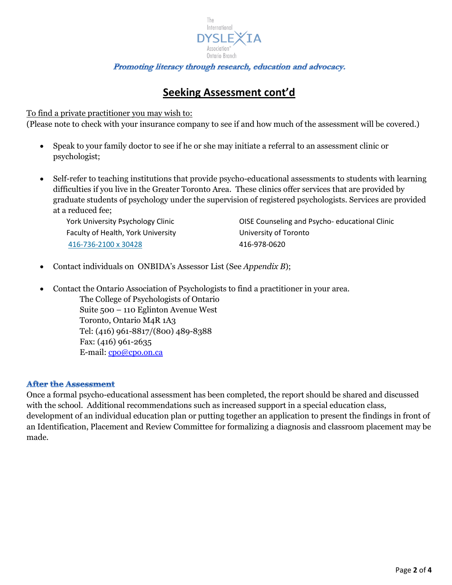

# **Seeking Assessment cont'd**

### To find a private practitioner you may wish to:

(Please note to check with your insurance company to see if and how much of the assessment will be covered.)

- Speak to your family doctor to see if he or she may initiate a referral to an assessment clinic or psychologist;
- Self-refer to teaching institutions that provide psycho-educational assessments to students with learning difficulties if you live in the Greater Toronto Area. These clinics offer services that are provided by graduate students of psychology under the supervision of registered psychologists. Services are provided at a reduced fee;

Faculty of Health, York University **Example 20** University of Toronto [416-736-2100 x 30428](tel:416-736-2100%2C%20x%2030428) 416-978-0620

York University Psychology Clinic **Comediate CIST** OISE Counseling and Psycho- educational Clinic

Contact individuals on ONBIDA's Assessor List (See *Appendix B*);

 Contact the Ontario Association of Psychologists to find a practitioner in your area. The College of Psychologists of Ontario Suite 500 – 110 Eglinton Avenue West Toronto, Ontario M4R 1A3 Tel: (416) 961-8817/(800) 489-8388 Fax: (416) 961-2635 E-mail: [cpo@cpo.on.ca](mailto:cpo@cpo.on.ca)

#### **After the Assessment**

Once a formal psycho-educational assessment has been completed, the report should be shared and discussed with the school. Additional recommendations such as increased support in a special education class, development of an individual education plan or putting together an application to present the findings in front of an Identification, Placement and Review Committee for formalizing a diagnosis and classroom placement may be made.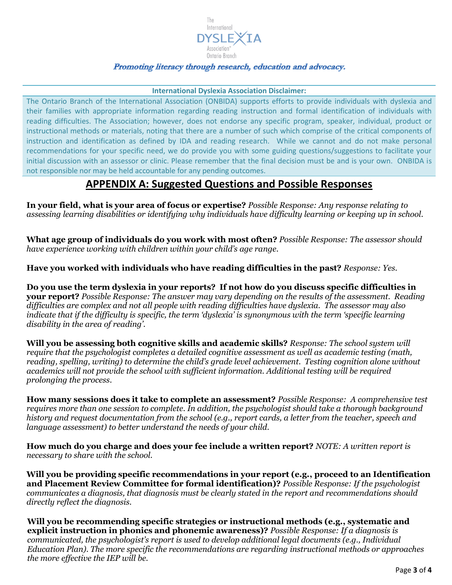

#### **International Dyslexia Association Disclaimer:**

The Ontario Branch of the International Association (ONBIDA) supports efforts to provide individuals with dyslexia and their families with appropriate information regarding reading instruction and formal identification of individuals with reading difficulties. The Association; however, does not endorse any specific program, speaker, individual, product or instructional methods or materials, noting that there are a number of such which comprise of the critical components of instruction and identification as defined by IDA and reading research. While we cannot and do not make personal recommendations for your specific need, we do provide you with some guiding questions/suggestions to facilitate your initial discussion with an assessor or clinic. Please remember that the final decision must be and is your own. ONBIDA is not responsible nor may be held accountable for any pending outcomes.

## **APPENDIX A: Suggested Questions and Possible Responses**

**In your field, what is your area of focus or expertise?** *Possible Response: Any response relating to assessing learning disabilities or identifying why individuals have difficulty learning or keeping up in school.* 

**What age group of individuals do you work with most often?** *Possible Response: The assessor should have experience working with children within your child's age range.* 

**Have you worked with individuals who have reading difficulties in the past?** *Response: Yes.*

**Do you use the term dyslexia in your reports? If not how do you discuss specific difficulties in your report?** *Possible Response: The answer may vary depending on the results of the assessment. Reading difficulties are complex and not all people with reading difficulties have dyslexia. The assessor may also indicate that if the difficulty is specific, the term 'dyslexia' is synonymous with the term 'specific learning disability in the area of reading'.*

**Will you be assessing both cognitive skills and academic skills?** *Response: The school system will require that the psychologist completes a detailed cognitive assessment as well as academic testing (math, reading, spelling, writing) to determine the child's grade level achievement. Testing cognition alone without academics will not provide the school with sufficient information. Additional testing will be required prolonging the process.*

**How many sessions does it take to complete an assessment?** *Possible Response: A comprehensive test requires more than one session to complete. In addition, the psychologist should take a thorough background history and request documentation from the school (e.g., report cards, a letter from the teacher, speech and language assessment) to better understand the needs of your child.*

**How much do you charge and does your fee include a written report?** *NOTE: A written report is necessary to share with the school.*

**Will you be providing specific recommendations in your report (e.g., proceed to an Identification and Placement Review Committee for formal identification)?** *Possible Response: If the psychologist communicates a diagnosis, that diagnosis must be clearly stated in the report and recommendations should directly reflect the diagnosis.*

**Will you be recommending specific strategies or instructional methods (e.g., systematic and explicit instruction in phonics and phonemic awareness)?** *Possible Response: If a diagnosis is communicated, the psychologist's report is used to develop additional legal documents (e.g., Individual Education Plan). The more specific the recommendations are regarding instructional methods or approaches the more effective the IEP will be.*